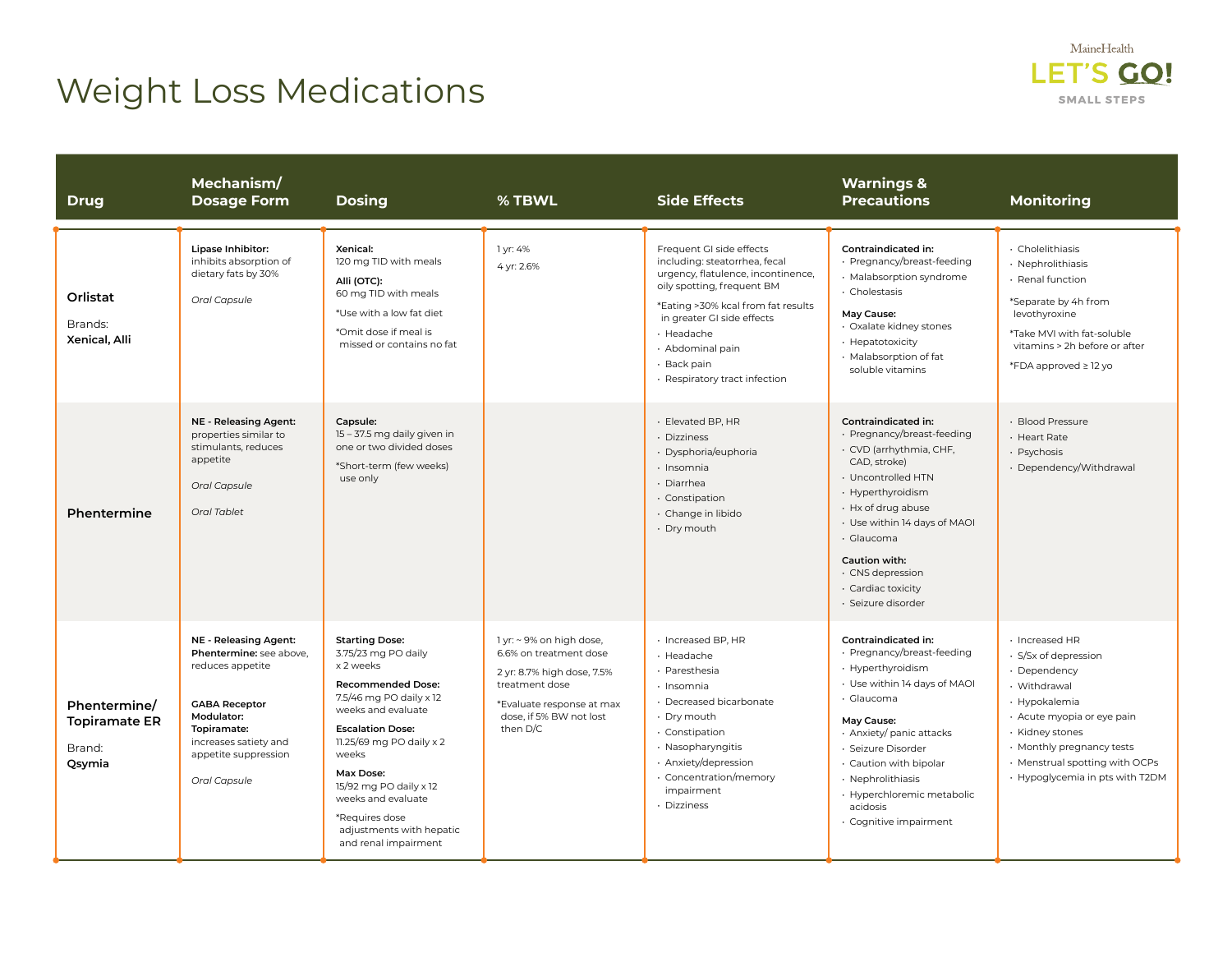## Weight Loss Medications



| <b>Drug</b>                                              | Mechanism/<br><b>Dosage Form</b>                                                                                                                                                           | <b>Dosing</b>                                                                                                                                                                                                                                                                                                                             | % TBWL                                                                                                                                                                 | <b>Side Effects</b>                                                                                                                                                                                                                                                                 | <b>Warnings &amp;</b><br><b>Precautions</b>                                                                                                                                                                                                                                                             | <b>Monitoring</b>                                                                                                                                                                                                                          |
|----------------------------------------------------------|--------------------------------------------------------------------------------------------------------------------------------------------------------------------------------------------|-------------------------------------------------------------------------------------------------------------------------------------------------------------------------------------------------------------------------------------------------------------------------------------------------------------------------------------------|------------------------------------------------------------------------------------------------------------------------------------------------------------------------|-------------------------------------------------------------------------------------------------------------------------------------------------------------------------------------------------------------------------------------------------------------------------------------|---------------------------------------------------------------------------------------------------------------------------------------------------------------------------------------------------------------------------------------------------------------------------------------------------------|--------------------------------------------------------------------------------------------------------------------------------------------------------------------------------------------------------------------------------------------|
| Orlistat<br>Brands:<br>Xenical, Alli                     | Lipase Inhibitor:<br>inhibits absorption of<br>dietary fats by 30%<br>Oral Capsule                                                                                                         | Xenical:<br>120 mg TID with meals<br>Alli (OTC):<br>60 mg TID with meals<br>*Use with a low fat diet<br>*Omit dose if meal is<br>missed or contains no fat                                                                                                                                                                                | 1 yr: 4%<br>4 yr: 2.6%                                                                                                                                                 | Frequent GI side effects<br>including: steatorrhea, fecal<br>urgency, flatulence, incontinence,<br>oily spotting, frequent BM<br>*Eating >30% kcal from fat results<br>in greater GI side effects<br>· Headache<br>· Abdominal pain<br>· Back pain<br>· Respiratory tract infection | <b>Contraindicated in:</b><br>· Pregnancy/breast-feeding<br>· Malabsorption syndrome<br>· Cholestasis<br>May Cause:<br>· Oxalate kidney stones<br>· Hepatotoxicity<br>· Malabsorption of fat<br>soluble vitamins                                                                                        | · Cholelithiasis<br>· Nephrolithiasis<br>· Renal function<br>*Separate by 4h from<br>levothyroxine<br>*Take MVI with fat-soluble<br>vitamins > 2h before or after<br>*FDA approved ≥ 12 yo                                                 |
| Phentermine                                              | <b>NE - Releasing Agent:</b><br>properties similar to<br>stimulants, reduces<br>appetite<br>Oral Capsule<br>Oral Tablet                                                                    | Capsule:<br>15 - 37.5 mg daily given in<br>one or two divided doses<br>*Short-term (few weeks)<br>use only                                                                                                                                                                                                                                |                                                                                                                                                                        | · Elevated BP, HR<br>Dizziness<br>· Dysphoria/euphoria<br>· Insomnia<br>· Diarrhea<br>· Constipation<br>· Change in libido<br>· Dry mouth                                                                                                                                           | <b>Contraindicated in:</b><br>· Pregnancy/breast-feeding<br>· CVD (arrhythmia, CHF,<br>CAD, stroke)<br>• Uncontrolled HTN<br>· Hyperthyroidism<br>· Hx of drug abuse<br>· Use within 14 days of MAOI<br>· Glaucoma<br>Caution with:<br>· CNS depression<br>· Cardiac toxicity<br>· Seizure disorder     | · Blood Pressure<br>· Heart Rate<br>· Psychosis<br>· Dependency/Withdrawal                                                                                                                                                                 |
| Phentermine/<br><b>Topiramate ER</b><br>Brand:<br>Qsymia | NE - Releasing Agent:<br>Phentermine: see above,<br>reduces appetite<br><b>GABA Receptor</b><br>Modulator:<br>Topiramate:<br>increases satiety and<br>appetite suppression<br>Oral Capsule | <b>Starting Dose:</b><br>3.75/23 mg PO daily<br>x 2 weeks<br><b>Recommended Dose:</b><br>7.5/46 mg PO daily x 12<br>weeks and evaluate<br><b>Escalation Dose:</b><br>11.25/69 mg PO daily x 2<br>weeks<br>Max Dose:<br>15/92 mg PO daily x 12<br>weeks and evaluate<br>*Requires dose<br>adjustments with hepatic<br>and renal impairment | 1 yr: ~ 9% on high dose,<br>6.6% on treatment dose<br>2 yr: 8.7% high dose, 7.5%<br>treatment dose<br>*Evaluate response at max<br>dose, if 5% BW not lost<br>then D/C | · Increased BP, HR<br>· Headache<br>· Paresthesia<br>· Insomnia<br>· Decreased bicarbonate<br>· Dry mouth<br>· Constipation<br>· Nasopharyngitis<br>· Anxiety/depression<br>Concentration/memory<br>impairment<br>· Dizziness                                                       | Contraindicated in:<br>· Pregnancy/breast-feeding<br>· Hyperthyroidism<br>• Use within 14 days of MAOI<br>· Glaucoma<br>May Cause:<br>· Anxiety/ panic attacks<br>· Seizure Disorder<br>· Caution with bipolar<br>· Nephrolithiasis<br>· Hyperchloremic metabolic<br>acidosis<br>· Cognitive impairment | · Increased HR<br>· S/Sx of depression<br>· Dependency<br>· Withdrawal<br>· Hypokalemia<br>· Acute myopia or eye pain<br>· Kidney stones<br>• Monthly pregnancy tests<br>• Menstrual spotting with OCPs<br>• Hypoglycemia in pts with T2DM |